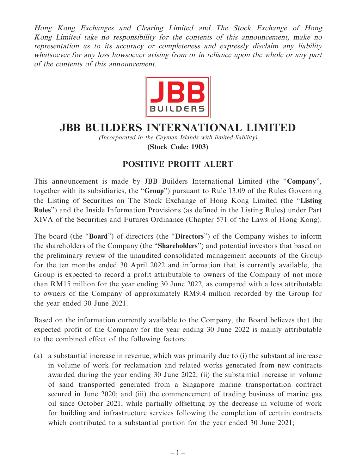Hong Kong Exchanges and Clearing Limited and The Stock Exchange of Hong Kong Limited take no responsibility for the contents of this announcement, make no representation as to its accuracy or completeness and expressly disclaim any liability whatsoever for any loss howsoever arising from or in reliance upon the whole or any part of the contents of this announcement.



## **JBB BUILDERS INTERNATIONAL LIMITED**

(Incorporated in the Cayman Islands with limited liability) **(Stock Code: 1903)**

## **POSITIVE PROFIT ALERT**

This announcement is made by JBB Builders International Limited (the "**Company**", together with its subsidiaries, the "**Group**") pursuant to Rule 13.09 of the Rules Governing the Listing of Securities on The Stock Exchange of Hong Kong Limited (the "**Listing Rules**") and the Inside Information Provisions (as defined in the Listing Rules) under Part XIVA of the Securities and Futures Ordinance (Chapter 571 of the Laws of Hong Kong).

The board (the "**Board**") of directors (the "**Directors**") of the Company wishes to inform the shareholders of the Company (the "**Shareholders**") and potential investors that based on the preliminary review of the unaudited consolidated management accounts of the Group for the ten months ended 30 April 2022 and information that is currently available, the Group is expected to record a profit attributable to owners of the Company of not more than RM15 million for the year ending 30 June 2022, as compared with a loss attributable to owners of the Company of approximately RM9.4 million recorded by the Group for the year ended 30 June 2021.

Based on the information currently available to the Company, the Board believes that the expected profit of the Company for the year ending 30 June 2022 is mainly attributable to the combined effect of the following factors:

(a) a substantial increase in revenue, which was primarily due to (i) the substantial increase in volume of work for reclamation and related works generated from new contracts awarded during the year ending 30 June 2022; (ii) the substantial increase in volume of sand transported generated from a Singapore marine transportation contract secured in June 2020; and (iii) the commencement of trading business of marine gas oil since October 2021, while partially offsetting by the decrease in volume of work for building and infrastructure services following the completion of certain contracts which contributed to a substantial portion for the year ended 30 June 2021;